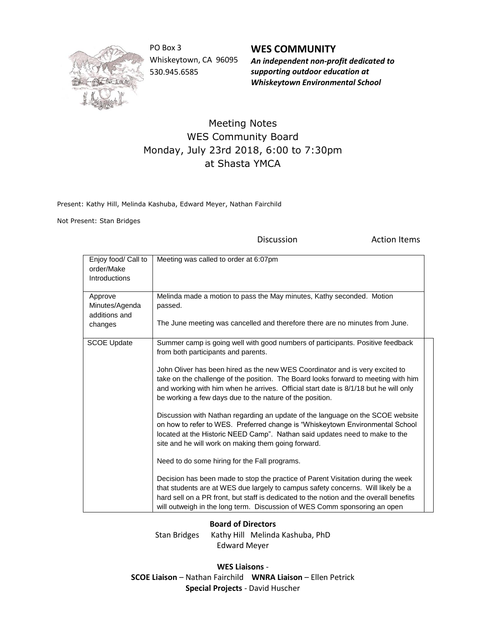

PO Box 3 Whiskeytown, CA 96095 530.945.6585

**WES COMMUNITY** *An independent non-profit dedicated to supporting outdoor education at*

*Whiskeytown Environmental School*

## Meeting Notes WES Community Board Monday, July 23rd 2018, 6:00 to 7:30pm at Shasta YMCA

Present: Kathy Hill, Melinda Kashuba, Edward Meyer, Nathan Fairchild

Not Present: Stan Bridges

Discussion **Action Items** 

| Enjoy food/ Call to<br>order/Make<br><b>Introductions</b> | Meeting was called to order at 6:07pm                                                                                                                                                                                                                                                                                                       |
|-----------------------------------------------------------|---------------------------------------------------------------------------------------------------------------------------------------------------------------------------------------------------------------------------------------------------------------------------------------------------------------------------------------------|
| Approve<br>Minutes/Agenda<br>additions and<br>changes     | Melinda made a motion to pass the May minutes, Kathy seconded. Motion<br>passed.<br>The June meeting was cancelled and therefore there are no minutes from June.                                                                                                                                                                            |
| <b>SCOE Update</b>                                        | Summer camp is going well with good numbers of participants. Positive feedback<br>from both participants and parents.                                                                                                                                                                                                                       |
|                                                           | John Oliver has been hired as the new WES Coordinator and is very excited to<br>take on the challenge of the position. The Board looks forward to meeting with him<br>and working with him when he arrives. Official start date is 8/1/18 but he will only<br>be working a few days due to the nature of the position.                      |
|                                                           | Discussion with Nathan regarding an update of the language on the SCOE website<br>on how to refer to WES. Preferred change is "Whiskeytown Environmental School<br>located at the Historic NEED Camp". Nathan said updates need to make to the<br>site and he will work on making them going forward.                                       |
|                                                           | Need to do some hiring for the Fall programs.                                                                                                                                                                                                                                                                                               |
|                                                           | Decision has been made to stop the practice of Parent Visitation during the week<br>that students are at WES due largely to campus safety concerns. Will likely be a<br>hard sell on a PR front, but staff is dedicated to the notion and the overall benefits<br>will outweigh in the long term. Discussion of WES Comm sponsoring an open |

## **Board of Directors**

Stan Bridges Kathy Hill Melinda Kashuba, PhD Edward Meyer

**WES Liaisons** - **SCOE Liaison** – Nathan Fairchild **WNRA Liaison** – Ellen Petrick **Special Projects** - David Huscher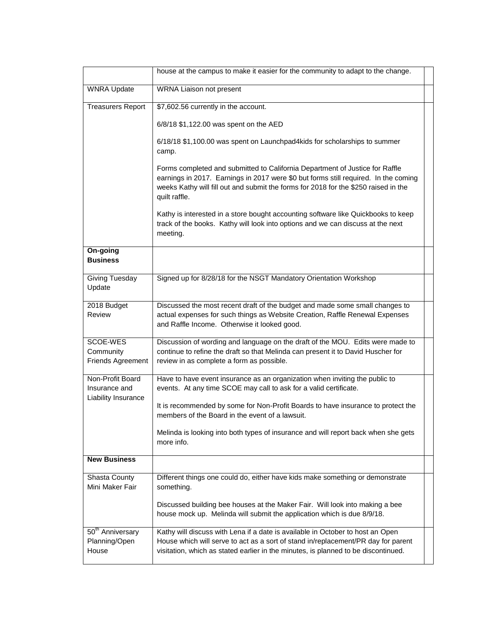|                                                          | house at the campus to make it easier for the community to adapt to the change.                                                                                                                                                                                             |  |
|----------------------------------------------------------|-----------------------------------------------------------------------------------------------------------------------------------------------------------------------------------------------------------------------------------------------------------------------------|--|
| <b>WNRA Update</b>                                       | WRNA Liaison not present                                                                                                                                                                                                                                                    |  |
| <b>Treasurers Report</b>                                 | \$7,602.56 currently in the account.                                                                                                                                                                                                                                        |  |
|                                                          | 6/8/18 \$1,122.00 was spent on the AED                                                                                                                                                                                                                                      |  |
|                                                          | 6/18/18 \$1,100.00 was spent on Launchpad4kids for scholarships to summer<br>camp.                                                                                                                                                                                          |  |
|                                                          | Forms completed and submitted to California Department of Justice for Raffle<br>earnings in 2017. Earnings in 2017 were \$0 but forms still required. In the coming<br>weeks Kathy will fill out and submit the forms for 2018 for the \$250 raised in the<br>quilt raffle. |  |
|                                                          | Kathy is interested in a store bought accounting software like Quickbooks to keep<br>track of the books. Kathy will look into options and we can discuss at the next<br>meeting.                                                                                            |  |
| On-going<br><b>Business</b>                              |                                                                                                                                                                                                                                                                             |  |
| Giving Tuesday<br>Update                                 | Signed up for 8/28/18 for the NSGT Mandatory Orientation Workshop                                                                                                                                                                                                           |  |
| 2018 Budget<br>Review                                    | Discussed the most recent draft of the budget and made some small changes to<br>actual expenses for such things as Website Creation, Raffle Renewal Expenses<br>and Raffle Income. Otherwise it looked good.                                                                |  |
| SCOE-WES<br>Community<br>Friends Agreement               | Discussion of wording and language on the draft of the MOU. Edits were made to<br>continue to refine the draft so that Melinda can present it to David Huscher for<br>review in as complete a form as possible.                                                             |  |
| Non-Profit Board<br>Insurance and<br>Liability Insurance | Have to have event insurance as an organization when inviting the public to<br>events. At any time SCOE may call to ask for a valid certificate.                                                                                                                            |  |
|                                                          | It is recommended by some for Non-Profit Boards to have insurance to protect the<br>members of the Board in the event of a lawsuit.                                                                                                                                         |  |
|                                                          | Melinda is looking into both types of insurance and will report back when she gets<br>more info.                                                                                                                                                                            |  |
| <b>New Business</b>                                      |                                                                                                                                                                                                                                                                             |  |
| Shasta County<br>Mini Maker Fair                         | Different things one could do, either have kids make something or demonstrate<br>something.                                                                                                                                                                                 |  |
|                                                          | Discussed building bee houses at the Maker Fair. Will look into making a bee<br>house mock up. Melinda will submit the application which is due 8/9/18.                                                                                                                     |  |
| 50 <sup>th</sup> Anniversary<br>Planning/Open<br>House   | Kathy will discuss with Lena if a date is available in October to host an Open<br>House which will serve to act as a sort of stand in/replacement/PR day for parent<br>visitation, which as stated earlier in the minutes, is planned to be discontinued.                   |  |